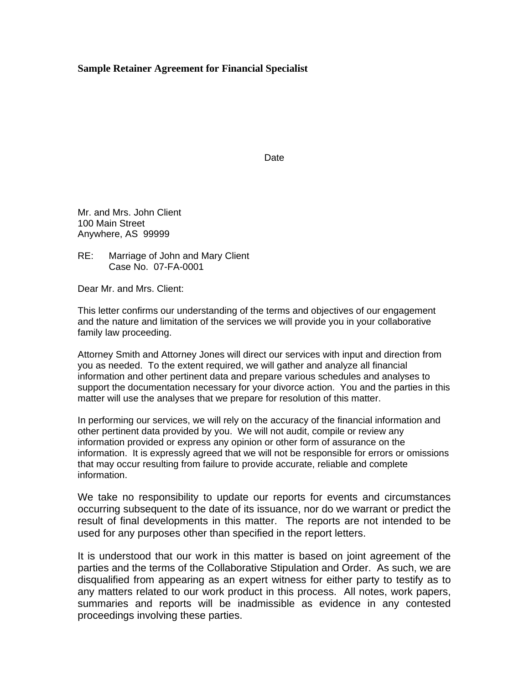## **Sample Retainer Agreement for Financial Specialist**

**Date Date Date** 

Mr. and Mrs. John Client 100 Main Street Anywhere, AS 99999

RE: Marriage of John and Mary Client Case No. 07-FA-0001

Dear Mr. and Mrs. Client:

This letter confirms our understanding of the terms and objectives of our engagement and the nature and limitation of the services we will provide you in your collaborative family law proceeding.

Attorney Smith and Attorney Jones will direct our services with input and direction from you as needed. To the extent required, we will gather and analyze all financial information and other pertinent data and prepare various schedules and analyses to support the documentation necessary for your divorce action. You and the parties in this matter will use the analyses that we prepare for resolution of this matter.

In performing our services, we will rely on the accuracy of the financial information and other pertinent data provided by you. We will not audit, compile or review any information provided or express any opinion or other form of assurance on the information. It is expressly agreed that we will not be responsible for errors or omissions that may occur resulting from failure to provide accurate, reliable and complete information.

We take no responsibility to update our reports for events and circumstances occurring subsequent to the date of its issuance, nor do we warrant or predict the result of final developments in this matter. The reports are not intended to be used for any purposes other than specified in the report letters.

It is understood that our work in this matter is based on joint agreement of the parties and the terms of the Collaborative Stipulation and Order. As such, we are disqualified from appearing as an expert witness for either party to testify as to any matters related to our work product in this process. All notes, work papers, summaries and reports will be inadmissible as evidence in any contested proceedings involving these parties.